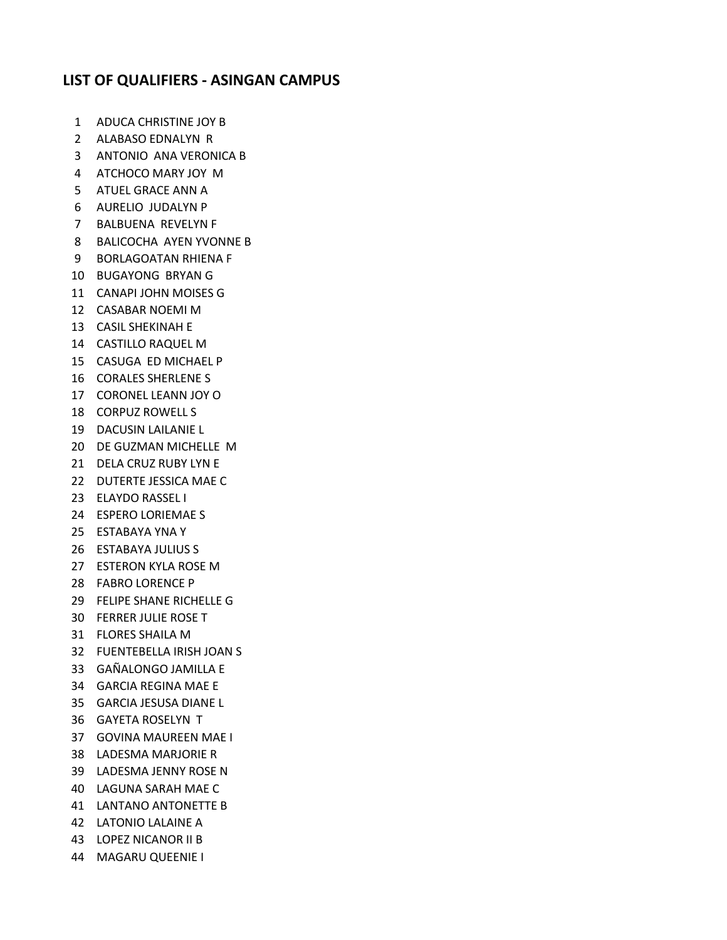## **LIST OF QUALIFIERS - ASINGAN CAMPUS**

- ADUCA CHRISTINE JOY B
- ALABASO EDNALYN R
- ANTONIO ANA VERONICA B
- ATCHOCO MARY JOY M
- ATUEL GRACE ANN A
- AURELIO JUDALYN P
- BALBUENA REVELYN F
- BALICOCHA AYEN YVONNE B
- BORLAGOATAN RHIENA F
- BUGAYONG BRYAN G
- CANAPI JOHN MOISES G
- CASABAR NOEMI M
- CASIL SHEKINAH E
- CASTILLO RAQUEL M
- CASUGA ED MICHAEL P
- CORALES SHERLENE S
- CORONEL LEANN JOY O
- CORPUZ ROWELL S
- DACUSIN LAILANIE L
- DE GUZMAN MICHELLE M
- DELA CRUZ RUBY LYN E
- DUTERTE JESSICA MAE C
- ELAYDO RASSEL I
- ESPERO LORIEMAE S
- ESTABAYA YNA Y
- ESTABAYA JULIUS S
- ESTERON KYLA ROSE M
- FABRO LORENCE P
- FELIPE SHANE RICHELLE G
- FERRER JULIE ROSE T
- FLORES SHAILA M
- FUENTEBELLA IRISH JOAN S
- GAÑALONGO JAMILLA E
- GARCIA REGINA MAE E
- GARCIA JESUSA DIANE L
- GAYETA ROSELYN T
- GOVINA MAUREEN MAE I
- LADESMA MARJORIE R
- LADESMA JENNY ROSE N
- LAGUNA SARAH MAE C
- LANTANO ANTONETTE B
- LATONIO LALAINE A
- LOPEZ NICANOR II B
- MAGARU QUEENIE I